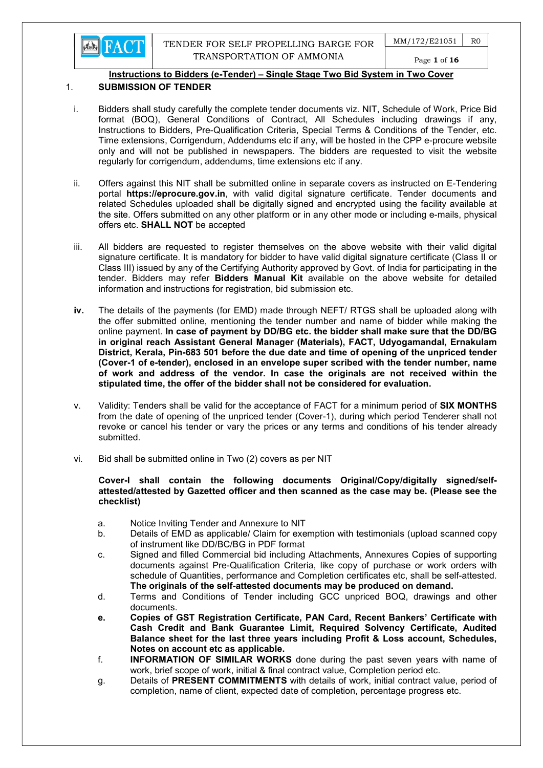

## 1. SUBMISSION OF TENDER

- i. Bidders shall study carefully the complete tender documents viz. NIT, Schedule of Work, Price Bid format (BOQ), General Conditions of Contract, All Schedules including drawings if any, Instructions to Bidders, Pre-Qualification Criteria, Special Terms & Conditions of the Tender, etc. Time extensions, Corrigendum, Addendums etc if any, will be hosted in the CPP e-procure website only and will not be published in newspapers. The bidders are requested to visit the website regularly for corrigendum, addendums, time extensions etc if any.
- ii. Offers against this NIT shall be submitted online in separate covers as instructed on E-Tendering portal https://eprocure.gov.in, with valid digital signature certificate. Tender documents and related Schedules uploaded shall be digitally signed and encrypted using the facility available at the site. Offers submitted on any other platform or in any other mode or including e-mails, physical offers etc. SHALL NOT be accepted
- iii. All bidders are requested to register themselves on the above website with their valid digital signature certificate. It is mandatory for bidder to have valid digital signature certificate (Class II or Class III) issued by any of the Certifying Authority approved by Govt. of India for participating in the tender. Bidders may refer **Bidders Manual Kit** available on the above website for detailed information and instructions for registration, bid submission etc.
- iv. The details of the payments (for EMD) made through NEFT/ RTGS shall be uploaded along with the offer submitted online, mentioning the tender number and name of bidder while making the online payment. In case of payment by DD/BG etc. the bidder shall make sure that the DD/BG in original reach Assistant General Manager (Materials), FACT, Udyogamandal, Ernakulam District, Kerala, Pin-683 501 before the due date and time of opening of the unpriced tender (Cover-1 of e-tender), enclosed in an envelope super scribed with the tender number, name of work and address of the vendor. In case the originals are not received within the stipulated time, the offer of the bidder shall not be considered for evaluation.
- v. Validity: Tenders shall be valid for the acceptance of FACT for a minimum period of SIX MONTHS from the date of opening of the unpriced tender (Cover-1), during which period Tenderer shall not revoke or cancel his tender or vary the prices or any terms and conditions of his tender already submitted.
- vi. Bid shall be submitted online in Two (2) covers as per NIT

#### Cover-I shall contain the following documents Original/Copy/digitally signed/selfattested/attested by Gazetted officer and then scanned as the case may be. (Please see the checklist)

- a. Notice Inviting Tender and Annexure to NIT
- b. Details of EMD as applicable/ Claim for exemption with testimonials (upload scanned copy of instrument like DD/BC/BG in PDF format
- c. Signed and filled Commercial bid including Attachments, Annexures Copies of supporting documents against Pre-Qualification Criteria, like copy of purchase or work orders with schedule of Quantities, performance and Completion certificates etc, shall be self-attested. The originals of the self-attested documents may be produced on demand.
- d. Terms and Conditions of Tender including GCC unpriced BOQ, drawings and other documents.
- e. Copies of GST Registration Certificate, PAN Card, Recent Bankers' Certificate with Cash Credit and Bank Guarantee Limit, Required Solvency Certificate, Audited Balance sheet for the last three years including Profit & Loss account, Schedules, Notes on account etc as applicable.
- f. INFORMATION OF SIMILAR WORKS done during the past seven years with name of work, brief scope of work, initial & final contract value, Completion period etc.
- g. Details of PRESENT COMMITMENTS with details of work, initial contract value, period of completion, name of client, expected date of completion, percentage progress etc.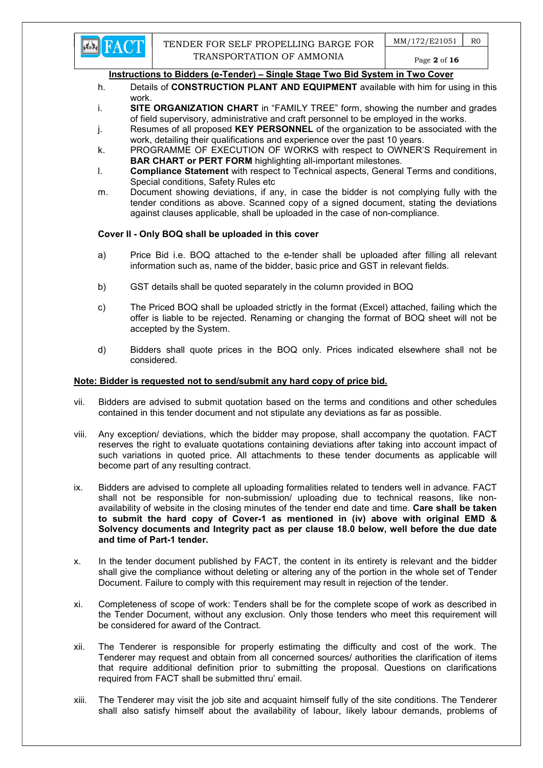

- h. Details of **CONSTRUCTION PLANT AND EQUIPMENT** available with him for using in this work.
- i. **SITE ORGANIZATION CHART** in "FAMILY TREE" form, showing the number and grades of field supervisory, administrative and craft personnel to be employed in the works.
- j. Resumes of all proposed KEY PERSONNEL of the organization to be associated with the work, detailing their qualifications and experience over the past 10 years.
- k. PROGRAMME OF EXECUTION OF WORKS with respect to OWNER'S Requirement in BAR CHART or PERT FORM highlighting all-important milestones.
- l. Compliance Statement with respect to Technical aspects, General Terms and conditions, Special conditions, Safety Rules etc
- m. Document showing deviations, if any, in case the bidder is not complying fully with the tender conditions as above. Scanned copy of a signed document, stating the deviations against clauses applicable, shall be uploaded in the case of non-compliance.

# Cover II - Only BOQ shall be uploaded in this cover

- a) Price Bid i.e. BOQ attached to the e-tender shall be uploaded after filling all relevant information such as, name of the bidder, basic price and GST in relevant fields.
- b) GST details shall be quoted separately in the column provided in BOQ
- c) The Priced BOQ shall be uploaded strictly in the format (Excel) attached, failing which the offer is liable to be rejected. Renaming or changing the format of BOQ sheet will not be accepted by the System.
- d) Bidders shall quote prices in the BOQ only. Prices indicated elsewhere shall not be considered.

# Note: Bidder is requested not to send/submit any hard copy of price bid.

- vii. Bidders are advised to submit quotation based on the terms and conditions and other schedules contained in this tender document and not stipulate any deviations as far as possible.
- viii. Any exception/ deviations, which the bidder may propose, shall accompany the quotation. FACT reserves the right to evaluate quotations containing deviations after taking into account impact of such variations in quoted price. All attachments to these tender documents as applicable will become part of any resulting contract.
- ix. Bidders are advised to complete all uploading formalities related to tenders well in advance. FACT shall not be responsible for non-submission/ uploading due to technical reasons, like nonavailability of website in the closing minutes of the tender end date and time. Care shall be taken to submit the hard copy of Cover-1 as mentioned in (iv) above with original EMD & Solvency documents and Integrity pact as per clause 18.0 below, well before the due date and time of Part-1 tender.
- x. In the tender document published by FACT, the content in its entirety is relevant and the bidder shall give the compliance without deleting or altering any of the portion in the whole set of Tender Document. Failure to comply with this requirement may result in rejection of the tender.
- xi. Completeness of scope of work: Tenders shall be for the complete scope of work as described in the Tender Document, without any exclusion. Only those tenders who meet this requirement will be considered for award of the Contract.
- xii. The Tenderer is responsible for properly estimating the difficulty and cost of the work. The Tenderer may request and obtain from all concerned sources/ authorities the clarification of items that require additional definition prior to submitting the proposal. Questions on clarifications required from FACT shall be submitted thru' email.
- xiii. The Tenderer may visit the job site and acquaint himself fully of the site conditions. The Tenderer shall also satisfy himself about the availability of labour, likely labour demands, problems of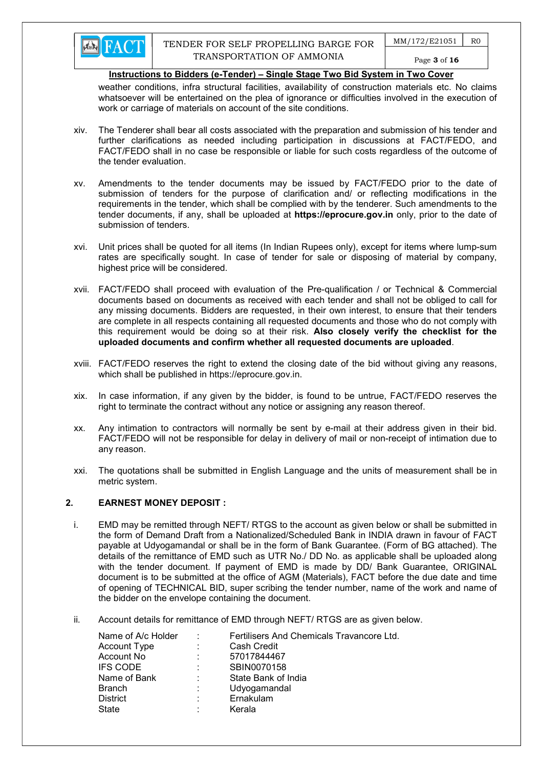

weather conditions, infra structural facilities, availability of construction materials etc. No claims whatsoever will be entertained on the plea of ignorance or difficulties involved in the execution of work or carriage of materials on account of the site conditions.

- xiv. The Tenderer shall bear all costs associated with the preparation and submission of his tender and further clarifications as needed including participation in discussions at FACT/FEDO, and FACT/FEDO shall in no case be responsible or liable for such costs regardless of the outcome of the tender evaluation.
- xv. Amendments to the tender documents may be issued by FACT/FEDO prior to the date of submission of tenders for the purpose of clarification and/ or reflecting modifications in the requirements in the tender, which shall be complied with by the tenderer. Such amendments to the tender documents, if any, shall be uploaded at https://eprocure.gov.in only, prior to the date of submission of tenders.
- xvi. Unit prices shall be quoted for all items (In Indian Rupees only), except for items where lump-sum rates are specifically sought. In case of tender for sale or disposing of material by company, highest price will be considered.
- xvii. FACT/FEDO shall proceed with evaluation of the Pre-qualification / or Technical & Commercial documents based on documents as received with each tender and shall not be obliged to call for any missing documents. Bidders are requested, in their own interest, to ensure that their tenders are complete in all respects containing all requested documents and those who do not comply with this requirement would be doing so at their risk. Also closely verify the checklist for the uploaded documents and confirm whether all requested documents are uploaded.
- xviii. FACT/FEDO reserves the right to extend the closing date of the bid without giving any reasons, which shall be published in https://eprocure.gov.in.
- xix. In case information, if any given by the bidder, is found to be untrue, FACT/FEDO reserves the right to terminate the contract without any notice or assigning any reason thereof.
- xx. Any intimation to contractors will normally be sent by e-mail at their address given in their bid. FACT/FEDO will not be responsible for delay in delivery of mail or non-receipt of intimation due to any reason.
- xxi. The quotations shall be submitted in English Language and the units of measurement shall be in metric system.

#### 2. EARNEST MONEY DEPOSIT :

- i. EMD may be remitted through NEFT/ RTGS to the account as given below or shall be submitted in the form of Demand Draft from a Nationalized/Scheduled Bank in INDIA drawn in favour of FACT payable at Udyogamandal or shall be in the form of Bank Guarantee. (Form of BG attached). The details of the remittance of EMD such as UTR No./ DD No. as applicable shall be uploaded along with the tender document. If payment of EMD is made by DD/ Bank Guarantee, ORIGINAL document is to be submitted at the office of AGM (Materials), FACT before the due date and time of opening of TECHNICAL BID, super scribing the tender number, name of the work and name of the bidder on the envelope containing the document.
- ii. Account details for remittance of EMD through NEFT/ RTGS are as given below.

| Name of A/c Holder | ÷ | Fertilisers And Chemicals Travancore Ltd. |
|--------------------|---|-------------------------------------------|
| Account Type       | ÷ | Cash Credit                               |
| Account No         | ÷ | 57017844467                               |
| <b>IFS CODE</b>    | ÷ | SBIN0070158                               |
| Name of Bank       | ٠ | State Bank of India                       |
| <b>Branch</b>      | ÷ | Udyogamandal                              |
| <b>District</b>    | ÷ | Ernakulam                                 |
| State              |   | Kerala                                    |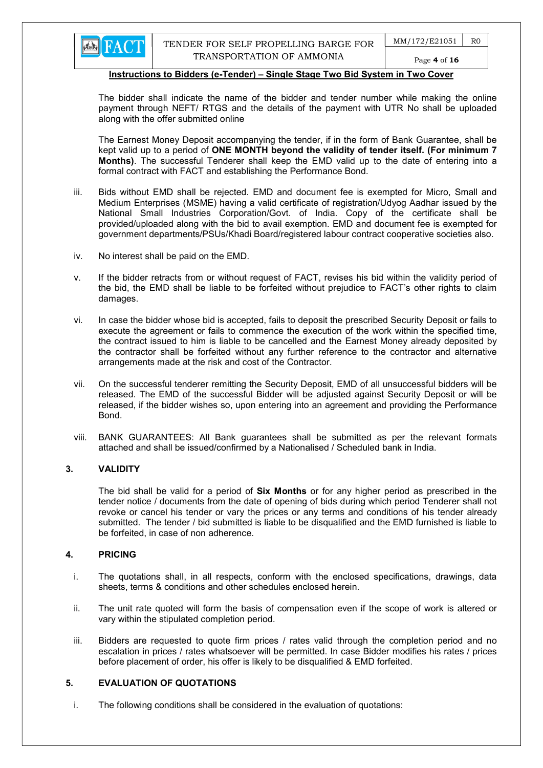The bidder shall indicate the name of the bidder and tender number while making the online payment through NEFT/ RTGS and the details of the payment with UTR No shall be uploaded along with the offer submitted online

The Earnest Money Deposit accompanying the tender, if in the form of Bank Guarantee, shall be kept valid up to a period of ONE MONTH beyond the validity of tender itself. (For minimum 7 Months). The successful Tenderer shall keep the EMD valid up to the date of entering into a formal contract with FACT and establishing the Performance Bond.

- iii. Bids without EMD shall be rejected. EMD and document fee is exempted for Micro, Small and Medium Enterprises (MSME) having a valid certificate of registration/Udyog Aadhar issued by the National Small Industries Corporation/Govt. of India. Copy of the certificate shall be provided/uploaded along with the bid to avail exemption. EMD and document fee is exempted for government departments/PSUs/Khadi Board/registered labour contract cooperative societies also.
- iv. No interest shall be paid on the EMD.
- v. If the bidder retracts from or without request of FACT, revises his bid within the validity period of the bid, the EMD shall be liable to be forfeited without prejudice to FACT's other rights to claim damages.
- vi. In case the bidder whose bid is accepted, fails to deposit the prescribed Security Deposit or fails to execute the agreement or fails to commence the execution of the work within the specified time, the contract issued to him is liable to be cancelled and the Earnest Money already deposited by the contractor shall be forfeited without any further reference to the contractor and alternative arrangements made at the risk and cost of the Contractor.
- vii. On the successful tenderer remitting the Security Deposit, EMD of all unsuccessful bidders will be released. The EMD of the successful Bidder will be adjusted against Security Deposit or will be released, if the bidder wishes so, upon entering into an agreement and providing the Performance Bond.
- viii. BANK GUARANTEES: All Bank guarantees shall be submitted as per the relevant formats attached and shall be issued/confirmed by a Nationalised / Scheduled bank in India.

#### 3. VALIDITY

The bid shall be valid for a period of **Six Months** or for any higher period as prescribed in the tender notice / documents from the date of opening of bids during which period Tenderer shall not revoke or cancel his tender or vary the prices or any terms and conditions of his tender already submitted. The tender / bid submitted is liable to be disqualified and the EMD furnished is liable to be forfeited, in case of non adherence.

#### 4. PRICING

- i. The quotations shall, in all respects, conform with the enclosed specifications, drawings, data sheets, terms & conditions and other schedules enclosed herein.
- ii. The unit rate quoted will form the basis of compensation even if the scope of work is altered or vary within the stipulated completion period.
- iii. Bidders are requested to quote firm prices / rates valid through the completion period and no escalation in prices / rates whatsoever will be permitted. In case Bidder modifies his rates / prices before placement of order, his offer is likely to be disqualified & EMD forfeited.

## 5. EVALUATION OF QUOTATIONS

i. The following conditions shall be considered in the evaluation of quotations: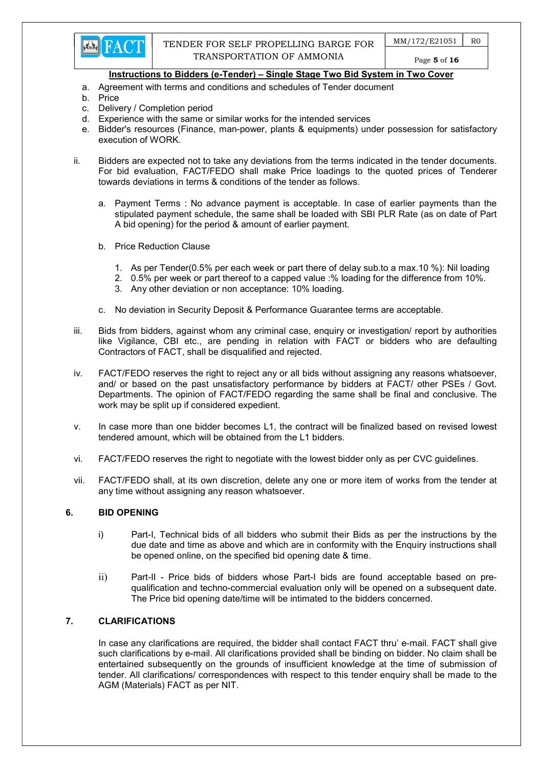- a. Agreement with terms and conditions and schedules of Tender document
- b. Price
- c. Delivery / Completion period
- d. Experience with the same or similar works for the intended services
- e. Bidder's resources (Finance, man-power, plants & equipments) under possession for satisfactory execution of WORK.
- ii. Bidders are expected not to take any deviations from the terms indicated in the tender documents. For bid evaluation, FACT/FEDO shall make Price loadings to the quoted prices of Tenderer towards deviations in terms & conditions of the tender as follows.
	- a. Payment Terms : No advance payment is acceptable. In case of earlier payments than the stipulated payment schedule, the same shall be loaded with SBI PLR Rate (as on date of Part A bid opening) for the period & amount of earlier payment.
	- b. Price Reduction Clause
		- 1. As per Tender(0.5% per each week or part there of delay sub.to a max.10 %): Nil loading
		- 2. 0.5% per week or part thereof to a capped value :% loading for the difference from 10%.
		- 3. Any other deviation or non acceptance: 10% loading.
	- c. No deviation in Security Deposit & Performance Guarantee terms are acceptable.
- iii. Bids from bidders, against whom any criminal case, enquiry or investigation/ report by authorities like Vigilance, CBI etc., are pending in relation with FACT or bidders who are defaulting Contractors of FACT, shall be disqualified and rejected.
- iv. FACT/FEDO reserves the right to reject any or all bids without assigning any reasons whatsoever, and/ or based on the past unsatisfactory performance by bidders at FACT/ other PSEs / Govt. Departments. The opinion of FACT/FEDO regarding the same shall be final and conclusive. The work may be split up if considered expedient.
- v. In case more than one bidder becomes L1, the contract will be finalized based on revised lowest tendered amount, which will be obtained from the L1 bidders.
- vi. FACT/FEDO reserves the right to negotiate with the lowest bidder only as per CVC guidelines.
- vii. FACT/FEDO shall, at its own discretion, delete any one or more item of works from the tender at any time without assigning any reason whatsoever.

## 6. BID OPENING

- i) Part-I, Technical bids of all bidders who submit their Bids as per the instructions by the due date and time as above and which are in conformity with the Enquiry instructions shall be opened online, on the specified bid opening date & time.
- ii) Part-II Price bids of bidders whose Part-I bids are found acceptable based on prequalification and techno-commercial evaluation only will be opened on a subsequent date. The Price bid opening date/time will be intimated to the bidders concerned.

## 7. CLARIFICATIONS

In case any clarifications are required, the bidder shall contact FACT thru' e-mail. FACT shall give such clarifications by e-mail. All clarifications provided shall be binding on bidder. No claim shall be entertained subsequently on the grounds of insufficient knowledge at the time of submission of tender. All clarifications/ correspondences with respect to this tender enquiry shall be made to the AGM (Materials) FACT as per NIT.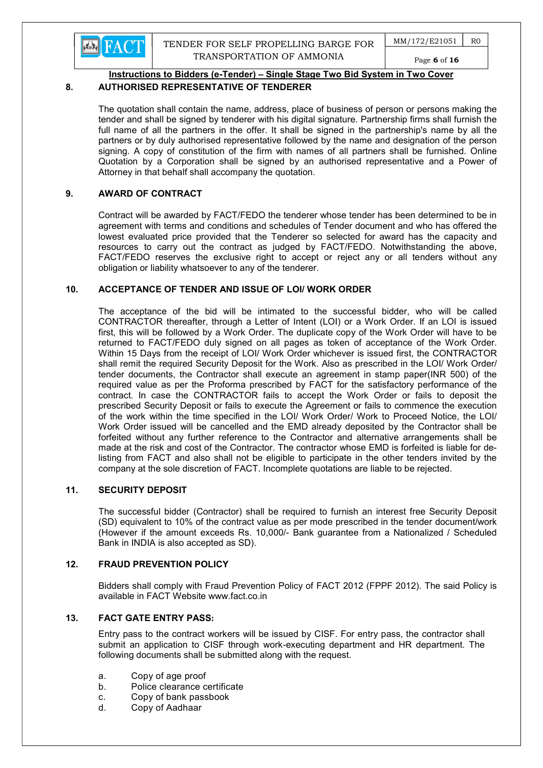

 $MM/172/E21051$  RO Page 6 of 16

## Instructions to Bidders (e-Tender) – Single Stage Two Bid System in Two Cover

## 8. AUTHORISED REPRESENTATIVE OF TENDERER

The quotation shall contain the name, address, place of business of person or persons making the tender and shall be signed by tenderer with his digital signature. Partnership firms shall furnish the full name of all the partners in the offer. It shall be signed in the partnership's name by all the partners or by duly authorised representative followed by the name and designation of the person signing. A copy of constitution of the firm with names of all partners shall be furnished. Online Quotation by a Corporation shall be signed by an authorised representative and a Power of Attorney in that behalf shall accompany the quotation.

## 9. AWARD OF CONTRACT

Contract will be awarded by FACT/FEDO the tenderer whose tender has been determined to be in agreement with terms and conditions and schedules of Tender document and who has offered the lowest evaluated price provided that the Tenderer so selected for award has the capacity and resources to carry out the contract as judged by FACT/FEDO. Notwithstanding the above, FACT/FEDO reserves the exclusive right to accept or reject any or all tenders without any obligation or liability whatsoever to any of the tenderer.

## 10. ACCEPTANCE OF TENDER AND ISSUE OF LOI/ WORK ORDER

The acceptance of the bid will be intimated to the successful bidder, who will be called CONTRACTOR thereafter, through a Letter of Intent (LOI) or a Work Order. If an LOI is issued first, this will be followed by a Work Order. The duplicate copy of the Work Order will have to be returned to FACT/FEDO duly signed on all pages as token of acceptance of the Work Order. Within 15 Days from the receipt of LOI/ Work Order whichever is issued first, the CONTRACTOR shall remit the required Security Deposit for the Work. Also as prescribed in the LOI/ Work Order/ tender documents, the Contractor shall execute an agreement in stamp paper(INR 500) of the required value as per the Proforma prescribed by FACT for the satisfactory performance of the contract. In case the CONTRACTOR fails to accept the Work Order or fails to deposit the prescribed Security Deposit or fails to execute the Agreement or fails to commence the execution of the work within the time specified in the LOI/ Work Order/ Work to Proceed Notice, the LOI/ Work Order issued will be cancelled and the EMD already deposited by the Contractor shall be forfeited without any further reference to the Contractor and alternative arrangements shall be made at the risk and cost of the Contractor. The contractor whose EMD is forfeited is liable for delisting from FACT and also shall not be eligible to participate in the other tenders invited by the company at the sole discretion of FACT. Incomplete quotations are liable to be rejected.

## 11. SECURITY DEPOSIT

The successful bidder (Contractor) shall be required to furnish an interest free Security Deposit (SD) equivalent to 10% of the contract value as per mode prescribed in the tender document/work (However if the amount exceeds Rs. 10,000/- Bank guarantee from a Nationalized / Scheduled Bank in INDIA is also accepted as SD).

## 12. FRAUD PREVENTION POLICY

Bidders shall comply with Fraud Prevention Policy of FACT 2012 (FPPF 2012). The said Policy is available in FACT Website www.fact.co.in

## 13. FACT GATE ENTRY PASS:

Entry pass to the contract workers will be issued by CISF. For entry pass, the contractor shall submit an application to CISF through work-executing department and HR department. The following documents shall be submitted along with the request.

- a. Copy of age proof
- b. Police clearance certificate
- c. Copy of bank passbook
- d. Copy of Aadhaar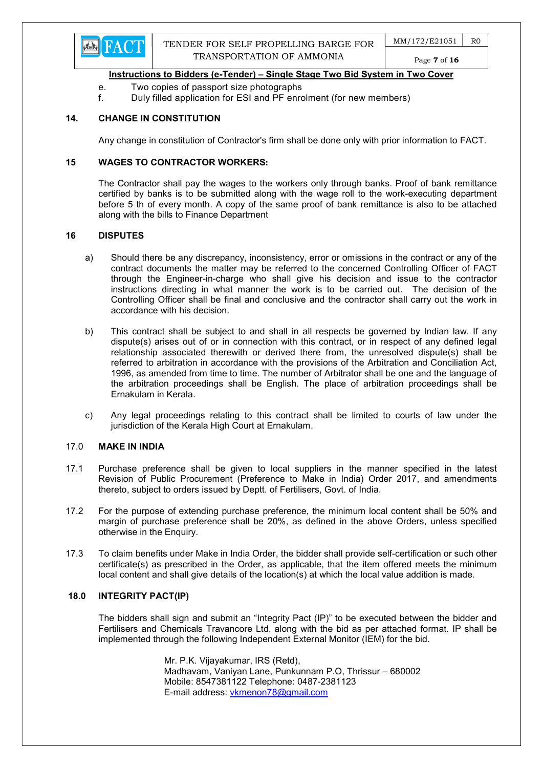

Page 7 of 16

## Instructions to Bidders (e-Tender) – Single Stage Two Bid System in Two Cover

- e. Two copies of passport size photographs
- f. Duly filled application for ESI and PF enrolment (for new members)

## 14. CHANGE IN CONSTITUTION

Any change in constitution of Contractor's firm shall be done only with prior information to FACT.

## 15 WAGES TO CONTRACTOR WORKERS:

The Contractor shall pay the wages to the workers only through banks. Proof of bank remittance certified by banks is to be submitted along with the wage roll to the work-executing department before 5 th of every month. A copy of the same proof of bank remittance is also to be attached along with the bills to Finance Department

#### 16 DISPUTES

- a) Should there be any discrepancy, inconsistency, error or omissions in the contract or any of the contract documents the matter may be referred to the concerned Controlling Officer of FACT through the Engineer-in-charge who shall give his decision and issue to the contractor instructions directing in what manner the work is to be carried out. The decision of the Controlling Officer shall be final and conclusive and the contractor shall carry out the work in accordance with his decision.
- b) This contract shall be subject to and shall in all respects be governed by Indian law. If any dispute(s) arises out of or in connection with this contract, or in respect of any defined legal relationship associated therewith or derived there from, the unresolved dispute(s) shall be referred to arbitration in accordance with the provisions of the Arbitration and Conciliation Act, 1996, as amended from time to time. The number of Arbitrator shall be one and the language of the arbitration proceedings shall be English. The place of arbitration proceedings shall be Ernakulam in Kerala.
- c) Any legal proceedings relating to this contract shall be limited to courts of law under the jurisdiction of the Kerala High Court at Ernakulam.

### 17.0 MAKE IN INDIA

- 17.1 Purchase preference shall be given to local suppliers in the manner specified in the latest Revision of Public Procurement (Preference to Make in India) Order 2017, and amendments thereto, subject to orders issued by Deptt. of Fertilisers, Govt. of India.
- 17.2 For the purpose of extending purchase preference, the minimum local content shall be 50% and margin of purchase preference shall be 20%, as defined in the above Orders, unless specified otherwise in the Enquiry.
- 17.3 To claim benefits under Make in India Order, the bidder shall provide self-certification or such other certificate(s) as prescribed in the Order, as applicable, that the item offered meets the minimum local content and shall give details of the location(s) at which the local value addition is made.

#### 18.0 INTEGRITY PACT(IP)

The bidders shall sign and submit an "Integrity Pact (IP)" to be executed between the bidder and Fertilisers and Chemicals Travancore Ltd. along with the bid as per attached format. IP shall be implemented through the following Independent External Monitor (IEM) for the bid.

> Mr. P.K. Vijayakumar, IRS (Retd), Madhavam, Vaniyan Lane, Punkunnam P.O, Thrissur – 680002 Mobile: 8547381122 Telephone: 0487-2381123 E-mail address: vkmenon78@gmail.com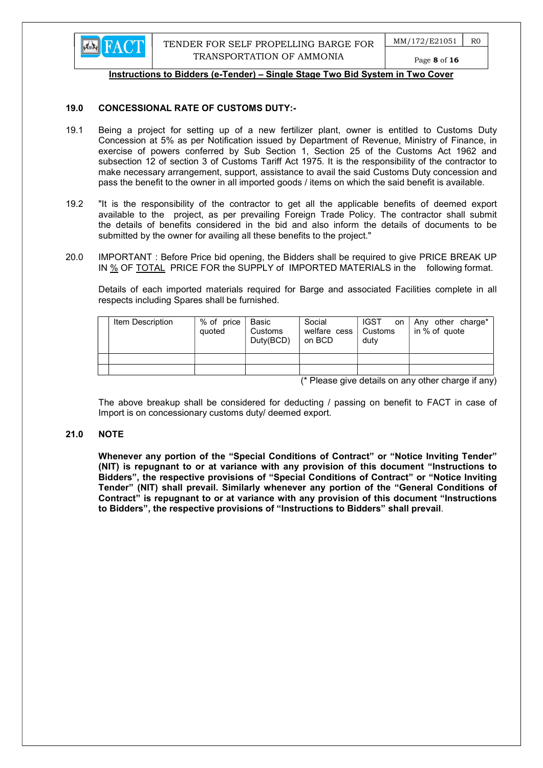

#### 19.0 CONCESSIONAL RATE OF CUSTOMS DUTY:-

- 19.1 Being a project for setting up of a new fertilizer plant, owner is entitled to Customs Duty Concession at 5% as per Notification issued by Department of Revenue, Ministry of Finance, in exercise of powers conferred by Sub Section 1, Section 25 of the Customs Act 1962 and subsection 12 of section 3 of Customs Tariff Act 1975. It is the responsibility of the contractor to make necessary arrangement, support, assistance to avail the said Customs Duty concession and pass the benefit to the owner in all imported goods / items on which the said benefit is available.
- 19.2 "It is the responsibility of the contractor to get all the applicable benefits of deemed export available to the project, as per prevailing Foreign Trade Policy. The contractor shall submit the details of benefits considered in the bid and also inform the details of documents to be submitted by the owner for availing all these benefits to the project."
- 20.0 IMPORTANT : Before Price bid opening, the Bidders shall be required to give PRICE BREAK UP IN % OF TOTAL PRICE FOR the SUPPLY of IMPORTED MATERIALS in the following format.

 Details of each imported materials required for Barge and associated Facilities complete in all respects including Spares shall be furnished.

| Item Description | % of price<br>quoted | Basic<br>Customs<br>Duty(BCD) | Social<br>welfare cess   Customs<br>on BCD | <b>IGST</b><br><b>on</b><br>duty | Any other charge*<br>in % of quote |
|------------------|----------------------|-------------------------------|--------------------------------------------|----------------------------------|------------------------------------|

(\* Please give details on any other charge if any)

 The above breakup shall be considered for deducting / passing on benefit to FACT in case of Import is on concessionary customs duty/ deemed export.

#### 21.0 NOTE

Whenever any portion of the "Special Conditions of Contract" or "Notice Inviting Tender" (NIT) is repugnant to or at variance with any provision of this document "Instructions to Bidders", the respective provisions of "Special Conditions of Contract" or "Notice Inviting Tender" (NIT) shall prevail. Similarly whenever any portion of the "General Conditions of Contract" is repugnant to or at variance with any provision of this document "Instructions to Bidders", the respective provisions of "Instructions to Bidders" shall prevail.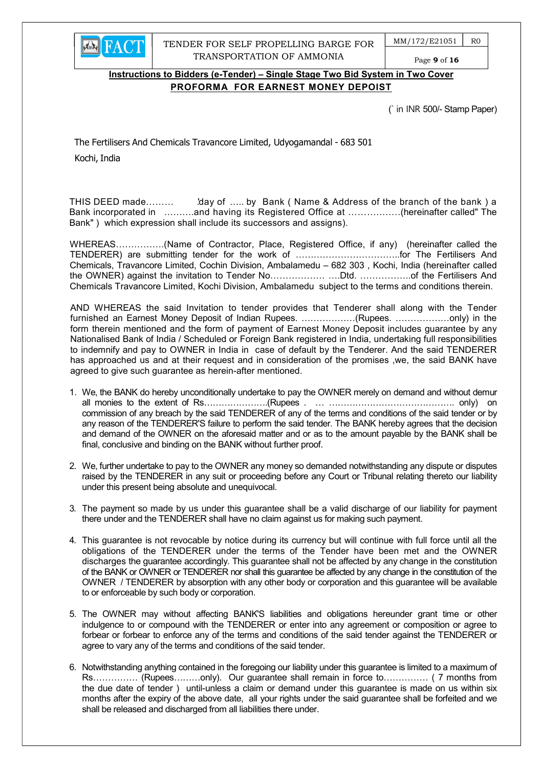

TENDER FOR SELF PROPELLING BARGE FOR TRANSPORTATION OF AMMONIA

 $MM/172/E21051$  RO Page 9 of 16

## Instructions to Bidders (e-Tender) – Single Stage Two Bid System in Two Cover PROFORMA FOR EARNEST MONEY DEPOIST

(` in INR 500/- Stamp Paper)

The Fertilisers And Chemicals Travancore Limited, Udyogamandal - 683 501 Kochi, India

THIS DEED made……… 'day of ….. by Bank (Name & Address of the branch of the bank) a Bank incorporated in ……….and having its Registered Office at ………….….(hereinafter called" The Bank" ) which expression shall include its successors and assigns).

WHEREAS…………….(Name of Contractor, Place, Registered Office, if any) (hereinafter called the TENDERER) are submitting tender for the work of ……………………………..for The Fertilisers And Chemicals, Travancore Limited, Cochin Division, Ambalamedu – 682 303 , Kochi, India (hereinafter called the OWNER) against the invitation to Tender No……………… ….Dtd. ……………..of the Fertilisers And Chemicals Travancore Limited, Kochi Division, Ambalamedu subject to the terms and conditions therein.

AND WHEREAS the said Invitation to tender provides that Tenderer shall along with the Tender furnished an Earnest Money Deposit of Indian Rupees. ………………(Rupees. ………………only) in the form therein mentioned and the form of payment of Earnest Money Deposit includes guarantee by any Nationalised Bank of India / Scheduled or Foreign Bank registered in India, undertaking full responsibilities to indemnify and pay to OWNER in India in case of default by the Tenderer. And the said TENDERER has approached us and at their request and in consideration of the promises ,we, the said BANK have agreed to give such guarantee as herein-after mentioned.

- 1. We, the BANK do hereby unconditionally undertake to pay the OWNER merely on demand and without demur all monies to the extent of Rs………………….(Rupees . … ……………………………………. only) on commission of any breach by the said TENDERER of any of the terms and conditions of the said tender or by any reason of the TENDERER'S failure to perform the said tender. The BANK hereby agrees that the decision and demand of the OWNER on the aforesaid matter and or as to the amount payable by the BANK shall be final, conclusive and binding on the BANK without further proof.
- 2. We, further undertake to pay to the OWNER any money so demanded notwithstanding any dispute or disputes raised by the TENDERER in any suit or proceeding before any Court or Tribunal relating thereto our liability under this present being absolute and unequivocal.
- 3. The payment so made by us under this guarantee shall be a valid discharge of our liability for payment there under and the TENDERER shall have no claim against us for making such payment.
- 4. This guarantee is not revocable by notice during its currency but will continue with full force until all the obligations of the TENDERER under the terms of the Tender have been met and the OWNER discharges the guarantee accordingly. This guarantee shall not be affected by any change in the constitution of the BANK or OWNER or TENDERER nor shall this guarantee be affected by any change in the constitution of the OWNER / TENDERER by absorption with any other body or corporation and this guarantee will be available to or enforceable by such body or corporation.
- 5. The OWNER may without affecting BANK'S liabilities and obligations hereunder grant time or other indulgence to or compound with the TENDERER or enter into any agreement or composition or agree to forbear or forbear to enforce any of the terms and conditions of the said tender against the TENDERER or agree to vary any of the terms and conditions of the said tender.
- 6. Notwithstanding anything contained in the foregoing our liability under this guarantee is limited to a maximum of Rs…………… (Rupees………only). Our guarantee shall remain in force to…………… ( 7 months from the due date of tender ) until-unless a claim or demand under this guarantee is made on us within six months after the expiry of the above date, all your rights under the said guarantee shall be forfeited and we shall be released and discharged from all liabilities there under.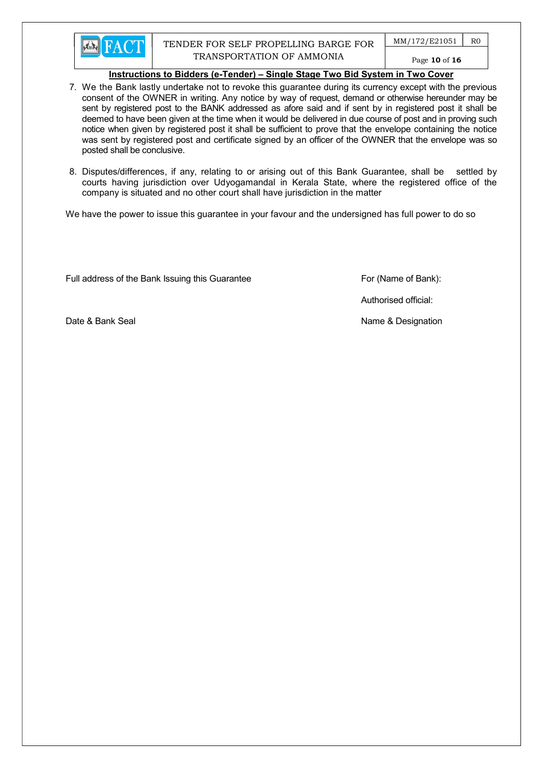

## TENDER FOR SELF PROPELLING BARGE FOR TRANSPORTATION OF AMMONIA

 $MM/172/E21051$  RO

Page 10 of 16

#### Instructions to Bidders (e-Tender) – Single Stage Two Bid System in Two Cover

- 7. We the Bank lastly undertake not to revoke this guarantee during its currency except with the previous consent of the OWNER in writing. Any notice by way of request, demand or otherwise hereunder may be sent by registered post to the BANK addressed as afore said and if sent by in registered post it shall be deemed to have been given at the time when it would be delivered in due course of post and in proving such notice when given by registered post it shall be sufficient to prove that the envelope containing the notice was sent by registered post and certificate signed by an officer of the OWNER that the envelope was so posted shall be conclusive.
- 8. Disputes/differences, if any, relating to or arising out of this Bank Guarantee, shall be settled by courts having jurisdiction over Udyogamandal in Kerala State, where the registered office of the company is situated and no other court shall have jurisdiction in the matter

We have the power to issue this guarantee in your favour and the undersigned has full power to do so

Full address of the Bank Issuing this Guarantee For (Name of Bank):

Authorised official:

Date & Bank Seal Name & Designation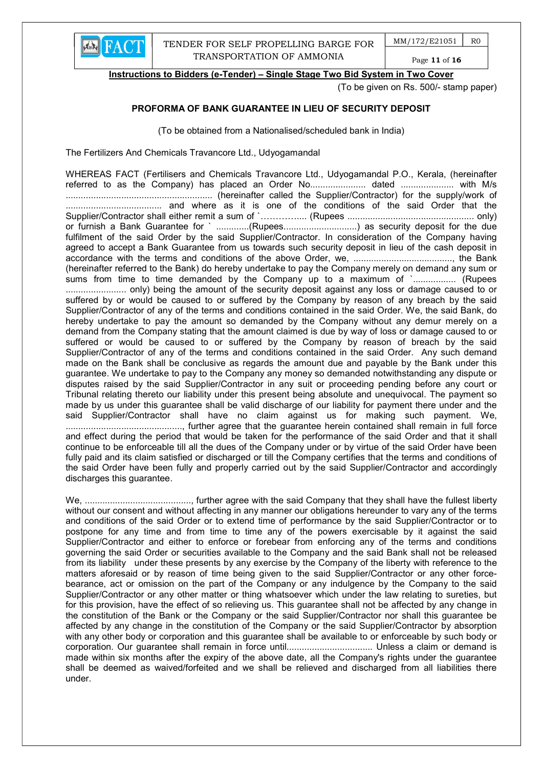

Page 11 of 16

Instructions to Bidders (e-Tender) – Single Stage Two Bid System in Two Cover

(To be given on Rs. 500/- stamp paper)

## PROFORMA OF BANK GUARANTEE IN LIEU OF SECURITY DEPOSIT

(To be obtained from a Nationalised/scheduled bank in India)

The Fertilizers And Chemicals Travancore Ltd., Udyogamandal

WHEREAS FACT (Fertilisers and Chemicals Travancore Ltd., Udyogamandal P.O., Kerala, (hereinafter referred to as the Company) has placed an Order No......................... dated ........................... with M/s .......................................................... (hereinafter called the Supplier/Contractor) for the supply/work of ...................................... and where as it is one of the conditions of the said Order that the Supplier/Contractor shall either remit a sum of `………….... (Rupees .................................................. only) or furnish a Bank Guarantee for ` ..............(Rupees................................) as security deposit for the due fulfilment of the said Order by the said Supplier/Contractor. In consideration of the Company having agreed to accept a Bank Guarantee from us towards such security deposit in lieu of the cash deposit in accordance with the terms and conditions of the above Order, we, ......................................., the Bank (hereinafter referred to the Bank) do hereby undertake to pay the Company merely on demand any sum or sums from time to time demanded by the Company up to a maximum of `................. (Rupees ........................ only) being the amount of the security deposit against any loss or damage caused to or suffered by or would be caused to or suffered by the Company by reason of any breach by the said Supplier/Contractor of any of the terms and conditions contained in the said Order. We, the said Bank, do hereby undertake to pay the amount so demanded by the Company without any demur merely on a demand from the Company stating that the amount claimed is due by way of loss or damage caused to or suffered or would be caused to or suffered by the Company by reason of breach by the said Supplier/Contractor of any of the terms and conditions contained in the said Order. Any such demand made on the Bank shall be conclusive as regards the amount due and payable by the Bank under this guarantee. We undertake to pay to the Company any money so demanded notwithstanding any dispute or disputes raised by the said Supplier/Contractor in any suit or proceeding pending before any court or Tribunal relating thereto our liability under this present being absolute and unequivocal. The payment so made by us under this guarantee shall be valid discharge of our liability for payment there under and the said Supplier/Contractor shall have no claim against us for making such payment. We, .............................................., further agree that the guarantee herein contained shall remain in full force and effect during the period that would be taken for the performance of the said Order and that it shall continue to be enforceable till all the dues of the Company under or by virtue of the said Order have been fully paid and its claim satisfied or discharged or till the Company certifies that the terms and conditions of the said Order have been fully and properly carried out by the said Supplier/Contractor and accordingly discharges this guarantee.

We, .........................................., further agree with the said Company that they shall have the fullest liberty without our consent and without affecting in any manner our obligations hereunder to vary any of the terms and conditions of the said Order or to extend time of performance by the said Supplier/Contractor or to postpone for any time and from time to time any of the powers exercisable by it against the said Supplier/Contractor and either to enforce or forebear from enforcing any of the terms and conditions governing the said Order or securities available to the Company and the said Bank shall not be released from its liability under these presents by any exercise by the Company of the liberty with reference to the matters aforesaid or by reason of time being given to the said Supplier/Contractor or any other forcebearance, act or omission on the part of the Company or any indulgence by the Company to the said Supplier/Contractor or any other matter or thing whatsoever which under the law relating to sureties, but for this provision, have the effect of so relieving us. This guarantee shall not be affected by any change in the constitution of the Bank or the Company or the said Supplier/Contractor nor shall this guarantee be affected by any change in the constitution of the Company or the said Supplier/Contractor by absorption with any other body or corporation and this guarantee shall be available to or enforceable by such body or corporation. Our guarantee shall remain in force until.................................. Unless a claim or demand is made within six months after the expiry of the above date, all the Company's rights under the guarantee shall be deemed as waived/forfeited and we shall be relieved and discharged from all liabilities there under.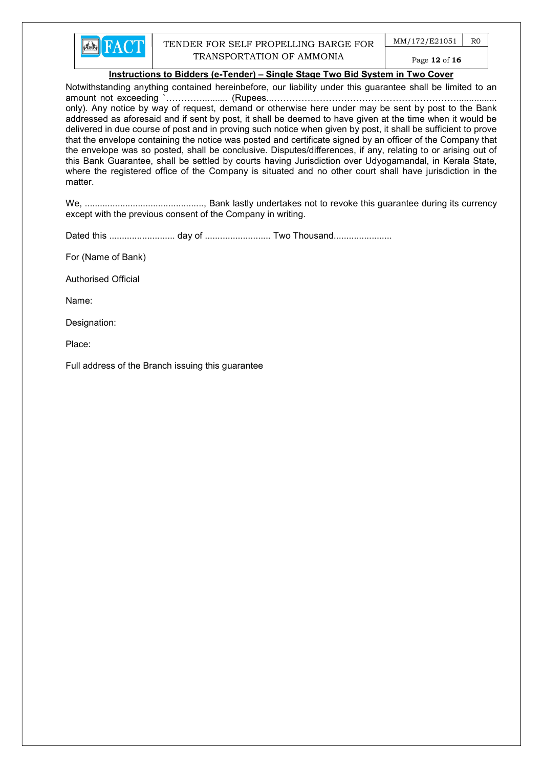

## TENDER FOR SELF PROPELLING BARGE FOR TRANSPORTATION OF AMMONIA

 $MM/172/E21051$  RO

## Page 12 of 16

## Instructions to Bidders (e-Tender) – Single Stage Two Bid System in Two Cover

Notwithstanding anything contained hereinbefore, our liability under this guarantee shall be limited to an amount not exceeding `………….......... (Rupees...……………………………………………………................ only). Any notice by way of request, demand or otherwise here under may be sent by post to the Bank addressed as aforesaid and if sent by post, it shall be deemed to have given at the time when it would be delivered in due course of post and in proving such notice when given by post, it shall be sufficient to prove that the envelope containing the notice was posted and certificate signed by an officer of the Company that the envelope was so posted, shall be conclusive. Disputes/differences, if any, relating to or arising out of this Bank Guarantee, shall be settled by courts having Jurisdiction over Udyogamandal, in Kerala State, where the registered office of the Company is situated and no other court shall have jurisdiction in the matter.

We, ..............................................., Bank lastly undertakes not to revoke this guarantee during its currency except with the previous consent of the Company in writing.

Dated this .......................... day of .......................... Two Thousand.......................

For (Name of Bank)

Authorised Official

Name:

Designation:

Place:

Full address of the Branch issuing this guarantee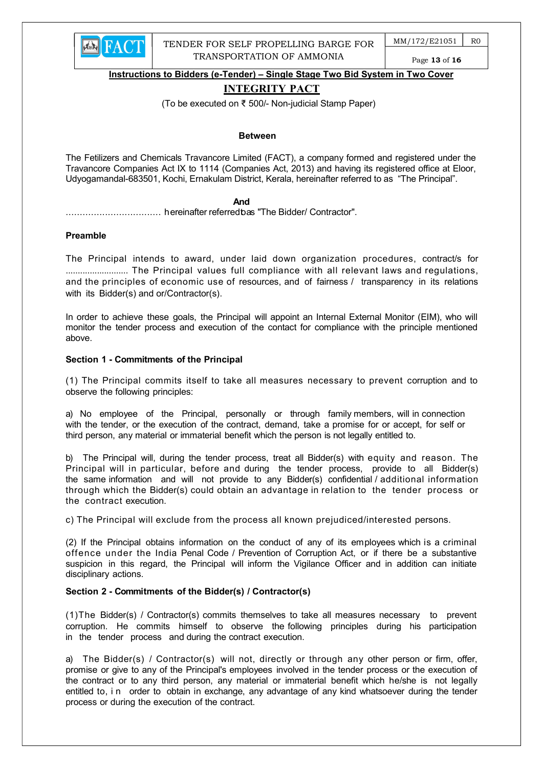

## INTEGRITY PACT

(To be executed on ₹ 500/- Non-judicial Stamp Paper)

#### Between

The Fetilizers and Chemicals Travancore Limited (FACT), a company formed and registered under the Travancore Companies Act IX to 1114 (Companies Act, 2013) and having its registered office at Eloor, Udyogamandal-683501, Kochi, Ernakulam District, Kerala, hereinafter referred to as "The Principal".

#### **And And And And** *And And*

.................................. hereinafter referred to as "The Bidder/ Contractor".

#### Preamble

The Principal intends to award, under laid down organization procedures, contract/s for .......................... The Principal values full compliance with all relevant laws and regulations, and the principles of economic use of resources, and of fairness / transparency in its relations with its Bidder(s) and or/Contractor(s).

In order to achieve these goals, the Principal will appoint an Internal External Monitor (EIM), who will monitor the tender process and execution of the contact for compliance with the principle mentioned above.

#### Section 1 - Commitments of the Principal

(1) The Principal commits itself to take all measures necessary to prevent corruption and to observe the following principles:

a) No employee of the Principal, personally or through family members, will in connection with the tender, or the execution of the contract, demand, take a promise for or accept, for self or third person, any material or immaterial benefit which the person is not legally entitled to.

b) The Principal will, during the tender process, treat all Bidder(s) with equity and reason. The Principal will in particular, before and during the tender process, provide to all Bidder(s) the same information and will not provide to any Bidder(s) confidential / additional information through which the Bidder(s) could obtain an advantage in relation to the tender process or the contract execution.

c) The Principal will exclude from the process all known prejudiced/interested persons.

(2) If the Principal obtains information on the conduct of any of its employees which is a criminal offence under the India Penal Code / Prevention of Corruption Act, or if there be a substantive suspicion in this regard, the Principal will inform the Vigilance Officer and in addition can initiate disciplinary actions.

#### Section 2 - Commitments of the Bidder(s) / Contractor(s)

(1)The Bidder(s) / Contractor(s) commits themselves to take all measures necessary to prevent corruption. He commits himself to observe the following principles during his participation in the tender process and during the contract execution.

a) The Bidder(s) / Contractor(s) will not, directly or through any other person or firm, offer, promise or give to any of the Principal's employees involved in the tender process or the execution of the contract or to any third person, any material or immaterial benefit which he/she is not legally entitled to, i n order to obtain in exchange, any advantage of any kind whatsoever during the tender process or during the execution of the contract.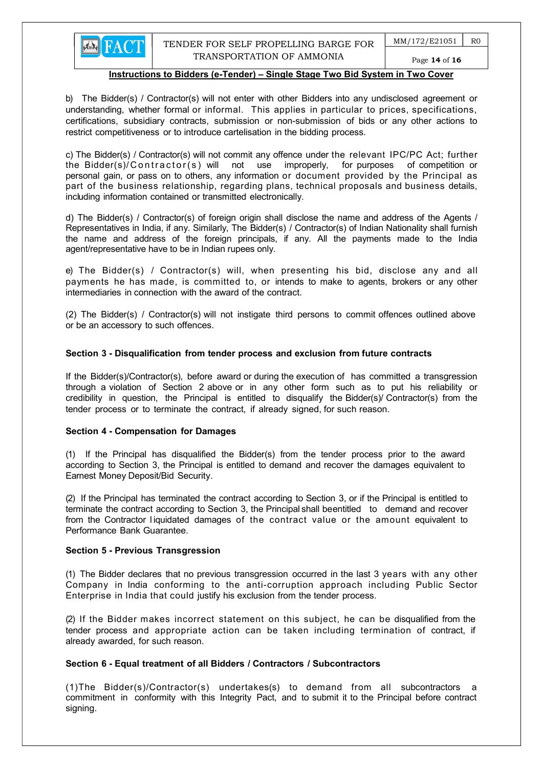# Page 14 of 16

#### Instructions to Bidders (e-Tender) – Single Stage Two Bid System in Two Cover

b) The Bidder(s) / Contractor(s) will not enter with other Bidders into any undisclosed agreement or understanding, whether formal or informal. This applies in particular to prices, specifications, certifications, subsidiary contracts, submission or non-submission of bids or any other actions to restrict competitiveness or to introduce cartelisation in the bidding process.

c) The Bidder(s) / Contractor(s) will not commit any offence under the relevant IPC/PC Act; further the Bidder(s)/Contractor(s) will not use improperly, for purposes of competition or personal gain, or pass on to others, any information or document provided by the Principal as part of the business relationship, regarding plans, technical proposals and business details, including information contained or transmitted electronically.

d) The Bidder(s) / Contractor(s) of foreign origin shall disclose the name and address of the Agents / Representatives in India, if any. Similarly, The Bidder(s) / Contractor(s) of Indian Nationality shall furnish the name and address of the foreign principals, if any. All the payments made to the India agent/representative have to be in Indian rupees only.

e) The Bidder(s) / Contractor(s) will, when presenting his bid, disclose any and all payments he has made, is committed to, or intends to make to agents, brokers or any other intermediaries in connection with the award of the contract.

(2) The Bidder(s) / Contractor(s) will not instigate third persons to commit offences outlined above or be an accessory to such offences.

#### Section 3 - Disqualification from tender process and exclusion from future contracts

If the Bidder(s)/Contractor(s), before award or during the execution of has committed a transgression through a violation of Section 2 above or in any other form such as to put his reliability or credibility in question, the Principal is entitled to disqualify the Bidder(s)/ Contractor(s) from the tender process or to terminate the contract, if already signed, for such reason.

#### Section 4 - Compensation for Damages

(1) If the Principal has disqualified the Bidder(s) from the tender process prior to the award according to Section 3, the Principal is entitled to demand and recover the damages equivalent to Earnest Money Deposit/Bid Security.

(2) If the Principal has terminated the contract according to Section 3, or if the Principal is entitled to terminate the contract according to Section 3, the Principal shall be entitled to demand and recover from the Contractor l iquidated damages of the contract value or the amount equivalent to Performance Bank Guarantee.

#### Section 5 - Previous Transgression

(1) The Bidder declares that no previous transgression occurred in the last 3 years with any other Company in India conforming to the anti-corruption approach including Public Sector Enterprise in India that could justify his exclusion from the tender process.

(2) If the Bidder makes incorrect statement on this subject, he can be disqualified from the tender process and appropriate action can be taken including termination of contract, if already awarded, for such reason.

## Section 6 - Equal treatment of all Bidders / Contractors / Subcontractors

(1)The Bidder(s)/Contractor(s) undertakes(s) to demand from all subcontractors a commitment in conformity with this Integrity Pact, and to submit it to the Principal before contract signing.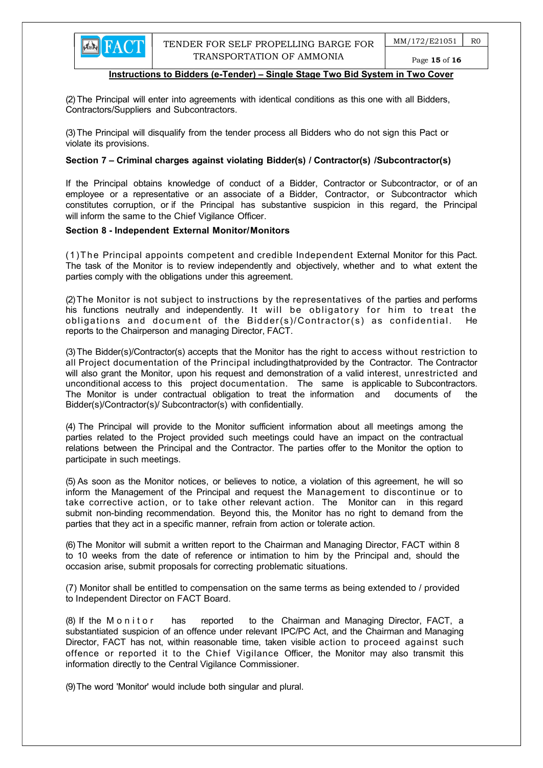(2) The Principal will enter into agreements with identical conditions as this one with all Bidders, Contractors/Suppliers and Subcontractors.

(3) The Principal will disqualify from the tender process all Bidders who do not sign this Pact or violate its provisions.

#### Section 7 – Criminal charges against violating Bidder(s) / Contractor(s) / Subcontractor(s)

If the Principal obtains knowledge of conduct of a Bidder, Contractor or Subcontractor, or of an employee or a representative or an associate of a Bidder, Contractor, or Subcontractor which constitutes corruption, or if the Principal has substantive suspicion in this regard, the Principal will inform the same to the Chief Vigilance Officer.

#### Section 8 - Independent External Monitor/Monitors

(1)T he Principal appoints competent and credible Independent External Monitor for this Pact. The task of the Monitor is to review independently and objectively, whether and to what extent the parties comply with the obligations under this agreement.

(2) The Monitor is not subject to instructions by the representatives of the parties and performs his functions neutrally and independently. It will be obligatory for him to treat the obligations and document of the Bidder(s)/Contractor(s) as confidential. He reports to the Chairperson and managing Director, FACT.

(3) The Bidder(s)/Contractor(s) accepts that the Monitor has the right to access without restriction to all Project documentation of the Principal including that provided by the Contractor. The Contractor will also grant the Monitor, upon his request and demonstration of a valid interest, unrestricted and unconditional access to this project documentation. The same is applicable to Subcontractors. The Monitor is under contractual obligation to treat the information and documents of the Bidder(s)/Contractor(s)/ Subcontractor(s) with confidentially.

(4) The Principal will provide to the Monitor sufficient information about all meetings among the parties related to the Project provided such meetings could have an impact on the contractual relations between the Principal and the Contractor. The parties offer to the Monitor the option to participate in such meetings.

(5) As soon as the Monitor notices, or believes to notice, a violation of this agreement, he will so inform the Management of the Principal and request the Management to discontinue or to take corrective action, or to take other relevant action. The Monitor can in this regard submit non-binding recommendation. Beyond this, the Monitor has no right to demand from the parties that they act in a specific manner, refrain from action or tolerate action.

(6) The Monitor will submit a written report to the Chairman and Managing Director, FACT within 8 to 10 weeks from the date of reference or intimation to him by the Principal and, should the occasion arise, submit proposals for correcting problematic situations.

 (7) Monitor shall be entitled to compensation on the same terms as being extended to / provided to Independent Director on FACT Board.

(8) If the M on it or has reported to the Chairman and Managing Director, FACT, a substantiated suspicion of an offence under relevant IPC/PC Act, and the Chairman and Managing Director, FACT has not, within reasonable time, taken visible action to proceed against such offence or reported it to the Chief Vigilance Officer, the Monitor may also transmit this information directly to the Central Vigilance Commissioner.

(9) The word 'Monitor' would include both singular and plural.